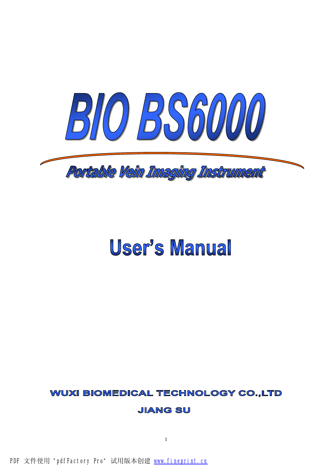

# User's Manual

# **WUXI BIOMEDICAL TECHNOLOGY CO.,LTD**

**JIANG SU** 

1

PDF 文件使用 "pdfFactory Pro" 试用版本创建 [www.fineprint.cn](http://www.fineprint.cn)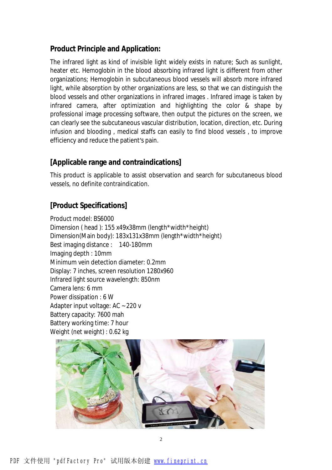#### **Product Principle and Application:**

The infrared light as kind of invisible light widely exists in nature; Such as sunlight, heater etc. Hemoglobin in the blood absorbing infrared light is different from other organizations; Hemoglobin in subcutaneous blood vessels will absorb more infrared light, while absorption by other organizations are less, so that we can distinguish the blood vessels and other organizations in infrared images . Infrared image is taken by infrared camera, after optimization and highlighting the color & shape by professional image processing software, then output the pictures on the screen, we can clearly see the subcutaneous vascular distribution, location, direction, etc. During infusion and blooding , medical staffs can easily to find blood vessels , to improve efficiency and reduce the patient's pain.

#### **[Applicable range and contraindications]**

This product is applicable to assist observation and search for subcutaneous blood vessels, no definite contraindication.

## **[Product Specifications]**

Product model: BS6000 Dimension ( head ): 155 x49x38mm (length\*width\*height) Dimension(Main body): 183x131x38mm (length\*width\*height) Best imaging distance : 140-180mm Imaging depth : 10mm Minimum vein detection diameter: 0.2mm Display: 7 inches, screen resolution 1280x960 Infrared light source wavelength: 850nm Camera lens: 6 mm Power dissipation : 6 W Adapter input voltage: AC ~ 220 v Battery capacity: 7600 mah Battery working time: 7 hour Weight (net weight) : 0.62 kg

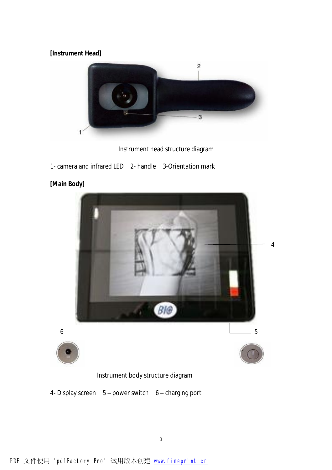#### **[Instrument Head]**



Instrument head structure diagram

1- camera and infrared LED 2- handle 3-Orientation mark



## **[Main Body]**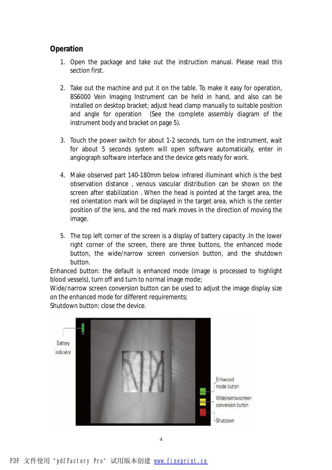#### **Operation**

- 1. Open the package and take out the instruction manual. Please read this section first.
- 2. Take out the machine and put it on the table. To make it easy for operation, BS6000 Vein Imaging Instrument can be held in hand, and also can be installed on desktop bracket; adjust head clamp manually to suitable position and angle for operation (See the complete assembly diagram of the instrument body and bracket on page 5).
- 3. Touch the power switch for about 1-2 seconds, turn on the instrument, wait for about 5 seconds system will open software automatically, enter in angiograph software interface and the device gets ready for work.
- 4. Make observed part 140-180mm below infrared illuminant which is the best observation distance , venous vascular distribution can be shown on the screen after stabilization . When the head is pointed at the target area, the red orientation mark will be displayed in the target area, which is the center position of the lens, and the red mark moves in the direction of moving the image.
- 5. The top left corner of the screen is a display of battery capacity .In the lower right corner of the screen, there are three buttons, the enhanced mode button, the wide/narrow screen conversion button, and the shutdown button.

Enhanced button: the default is enhanced mode (image is processed to highlight blood vessels), turn off and turn to normal image mode;

Wide/narrow screen conversion button can be used to adjust the image display size on the enhanced mode for different requirements;

Shutdown button: close the device.

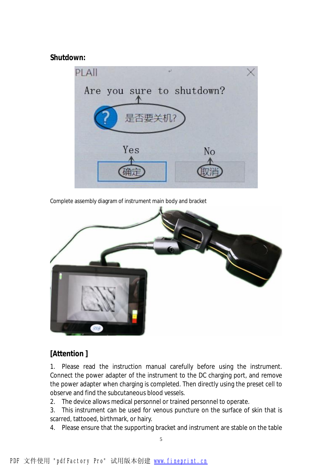**Shutdown:** 



Complete assembly diagram of instrument main body and bracket



# **[Attention ]**

1. Please read the instruction manual carefully before using the instrument. Connect the power adapter of the instrument to the DC charging port, and remove the power adapter when charging is completed. Then directly using the preset cell to observe and find the subcutaneous blood vessels.

2. The device allows medical personnel or trained personnel to operate.

3. This instrument can be used for venous puncture on the surface of skin that is scarred, tattooed, birthmark, or hairy.

4. Please ensure that the supporting bracket and instrument are stable on the table